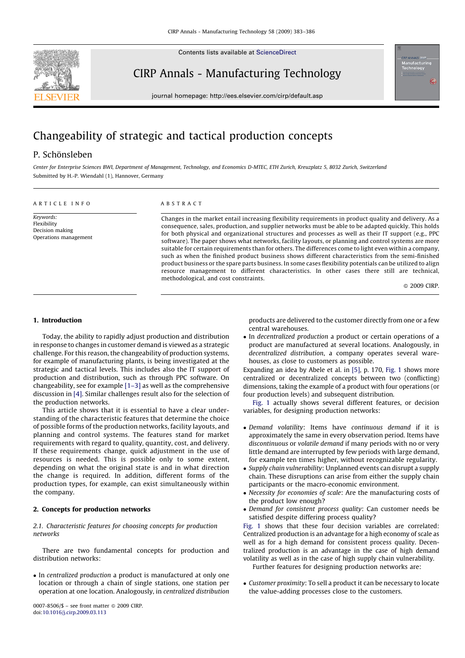

Contents lists available at [ScienceDirect](http://www.sciencedirect.com/science/journal/00078506)

CIRP Annals - Manufacturing Technology

journal homepage: http://ees.elsevier.com/cirp/default.asp



## Changeability of strategic and tactical production concepts

## P. Schönsleben

Center for Enterprise Sciences BWI, Department of Management, Technology, and Economics D-MTEC, ETH Zurich, Kreuzplatz 5, 8032 Zurich, Switzerland Submitted by H.-P. Wiendahl (1), Hannover, Germany

#### ARTICLE INFO

Keywords: Flexibility Decision making Operations management

## ABSTRACT

Changes in the market entail increasing flexibility requirements in product quality and delivery. As a consequence, sales, production, and supplier networks must be able to be adapted quickly. This holds for both physical and organizational structures and processes as well as their IT support (e.g., PPC software). The paper shows what networks, facility layouts, or planning and control systems are more suitable for certain requirements than for others. The differences come to light even within a company, such as when the finished product business shows different characteristics from the semi-finished product business or the spare parts business. In some cases flexibility potentials can be utilized to align resource management to different characteristics. In other cases there still are technical, methodological, and cost constraints.

© 2009 CIRP.

#### 1. Introduction

Today, the ability to rapidly adjust production and distribution in response to changes in customer demand is viewed as a strategic challenge. For this reason, the changeability of production systems, for example of manufacturing plants, is being investigated at the strategic and tactical levels. This includes also the IT support of production and distribution, such as through PPC software. On changeability, see for example [\[1–3\]](#page--1-0) as well as the comprehensive discussion in [\[4\].](#page--1-0) Similar challenges result also for the selection of the production networks.

This article shows that it is essential to have a clear understanding of the characteristic features that determine the choice of possible forms of the production networks, facility layouts, and planning and control systems. The features stand for market requirements with regard to quality, quantity, cost, and delivery. If these requirements change, quick adjustment in the use of resources is needed. This is possible only to some extent, depending on what the original state is and in what direction the change is required. In addition, different forms of the production types, for example, can exist simultaneously within the company.

### 2. Concepts for production networks

2.1. Characteristic features for choosing concepts for production networks

There are two fundamental concepts for production and distribution networks:

• In centralized production a product is manufactured at only one location or through a chain of single stations, one station per operation at one location. Analogously, in centralized distribution

0007-8506/\$ – see front matter © 2009 CIRP. doi:[10.1016/j.cirp.2009.03.113](http://dx.doi.org/10.1016/j.cirp.2009.03.113)

products are delivered to the customer directly from one or a few central warehouses.

• In *decentralized production* a product or certain operations of a product are manufactured at several locations. Analogously, in decentralized distribution, a company operates several warehouses, as close to customers as possible.

Expanding an idea by Abele et al. in [\[5\]](#page--1-0), p. 170, [Fig. 1](#page-1-0) shows more centralized or decentralized concepts between two (conflicting) dimensions, taking the example of a product with four operations (or four production levels) and subsequent distribution.

[Fig. 1](#page-1-0) actually shows several different features, or decision variables, for designing production networks:

- Demand volatility: Items have continuous demand if it is approximately the same in every observation period. Items have discontinuous or volatile demand if many periods with no or very little demand are interrupted by few periods with large demand, for example ten times higher, without recognizable regularity.
- Supply chain vulnerability: Unplanned events can disrupt a supply chain. These disruptions can arise from either the supply chain participants or the macro-economic environment.
- Necessity for economies of scale: Are the manufacturing costs of the product low enough?
- Demand for consistent process quality: Can customer needs be satisfied despite differing process quality?

[Fig. 1](#page-1-0) shows that these four decision variables are correlated: Centralized production is an advantage for a high economy of scale as well as for a high demand for consistent process quality. Decentralized production is an advantage in the case of high demand volatility as well as in the case of high supply chain vulnerability. Further features for designing production networks are:

• Customer proximity: To sell a product it can be necessary to locate the value-adding processes close to the customers.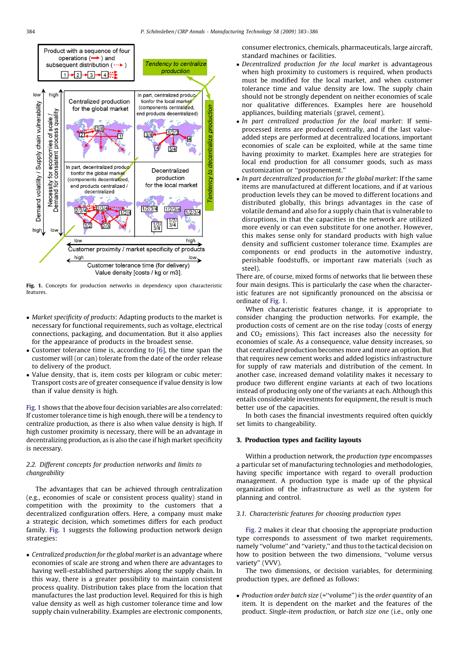<span id="page-1-0"></span>

Fig. 1. Concepts for production networks in dependency upon characteristic features.

- Market specificity of products: Adapting products to the market is necessary for functional requirements, such as voltage, electrical connections, packaging, and documentation. But it also applies for the appearance of products in the broadest sense.
- Customer tolerance time is, according to [\[6\]](#page--1-0), the time span the customer will (or can) tolerate from the date of the order release to delivery of the product.
- Value density, that is, item costs per kilogram or cubic meter: Transport costs are of greater consequence if value density is low than if value density is high.

Fig. 1 shows that the above four decision variables are also correlated: If customer tolerance time is high enough, there will be a tendency to centralize production, as there is also when value density is high. If high customer proximity is necessary, there will be an advantage in decentralizing production, as is also the case if high market specificity is necessary.

### 2.2. Different concepts for production networks and limits to changeability

The advantages that can be achieved through centralization (e.g., economies of scale or consistent process quality) stand in competition with the proximity to the customers that a decentralized configuration offers. Here, a company must make a strategic decision, which sometimes differs for each product family. Fig. 1 suggests the following production network design strategies:

• Centralized production for the global market is an advantage where economies of scale are strong and when there are advantages to having well-established partnerships along the supply chain. In this way, there is a greater possibility to maintain consistent process quality. Distribution takes place from the location that manufactures the last production level. Required for this is high value density as well as high customer tolerance time and low supply chain vulnerability. Examples are electronic components,

consumer electronics, chemicals, pharmaceuticals, large aircraft, standard machines or facilities.

- Decentralized production for the local market is advantageous when high proximity to customers is required, when products must be modified for the local market, and when customer tolerance time and value density are low. The supply chain should not be strongly dependent on neither economies of scale nor qualitative differences. Examples here are household appliances, building materials (gravel, cement).
- In part centralized production for the local market: If semiprocessed items are produced centrally, and if the last valueadded steps are performed at decentralized locations, important economies of scale can be exploited, while at the same time having proximity to market. Examples here are strategies for local end production for all consumer goods, such as mass customization or ''postponement.''
- In part decentralized production for the global market: If the same items are manufactured at different locations, and if at various production levels they can be moved to different locations and distributed globally, this brings advantages in the case of volatile demand and also for a supply chain that is vulnerable to disruptions, in that the capacities in the network are utilized more evenly or can even substitute for one another. However, this makes sense only for standard products with high value density and sufficient customer tolerance time. Examples are components or end products in the automotive industry, perishable foodstuffs, or important raw materials (such as steel).

There are, of course, mixed forms of networks that lie between these four main designs. This is particularly the case when the characteristic features are not significantly pronounced on the abscissa or ordinate of Fig. 1.

When characteristic features change, it is appropriate to consider changing the production networks. For example, the production costs of cement are on the rise today (costs of energy and  $CO<sub>2</sub>$  emissions). This fact increases also the necessity for economies of scale. As a consequence, value density increases, so that centralized production becomes more and more an option. But that requires new cement works and added logistics infrastructure for supply of raw materials and distribution of the cement. In another case, increased demand volatility makes it necessary to produce two different engine variants at each of two locations instead of producing only one of the variants at each. Although this entails considerable investments for equipment, the result is much better use of the capacities.

In both cases the financial investments required often quickly set limits to changeability.

#### 3. Production types and facility layouts

Within a production network, the production type encompasses a particular set of manufacturing technologies and methodologies, having specific importance with regard to overall production management. A production type is made up of the physical organization of the infrastructure as well as the system for planning and control.

#### 3.1. Characteristic features for choosing production types

[Fig. 2](#page--1-0) makes it clear that choosing the appropriate production type corresponds to assessment of two market requirements, namely ''volume'' and ''variety,'' and thus to the tactical decision on how to position between the two dimensions, ''volume versus variety'' (VVV).

The two dimensions, or decision variables, for determining production types, are defined as follows:

• Production order batch size (= "volume") is the order quantity of an item. It is dependent on the market and the features of the product. Single-item production, or batch size one (i.e., only one